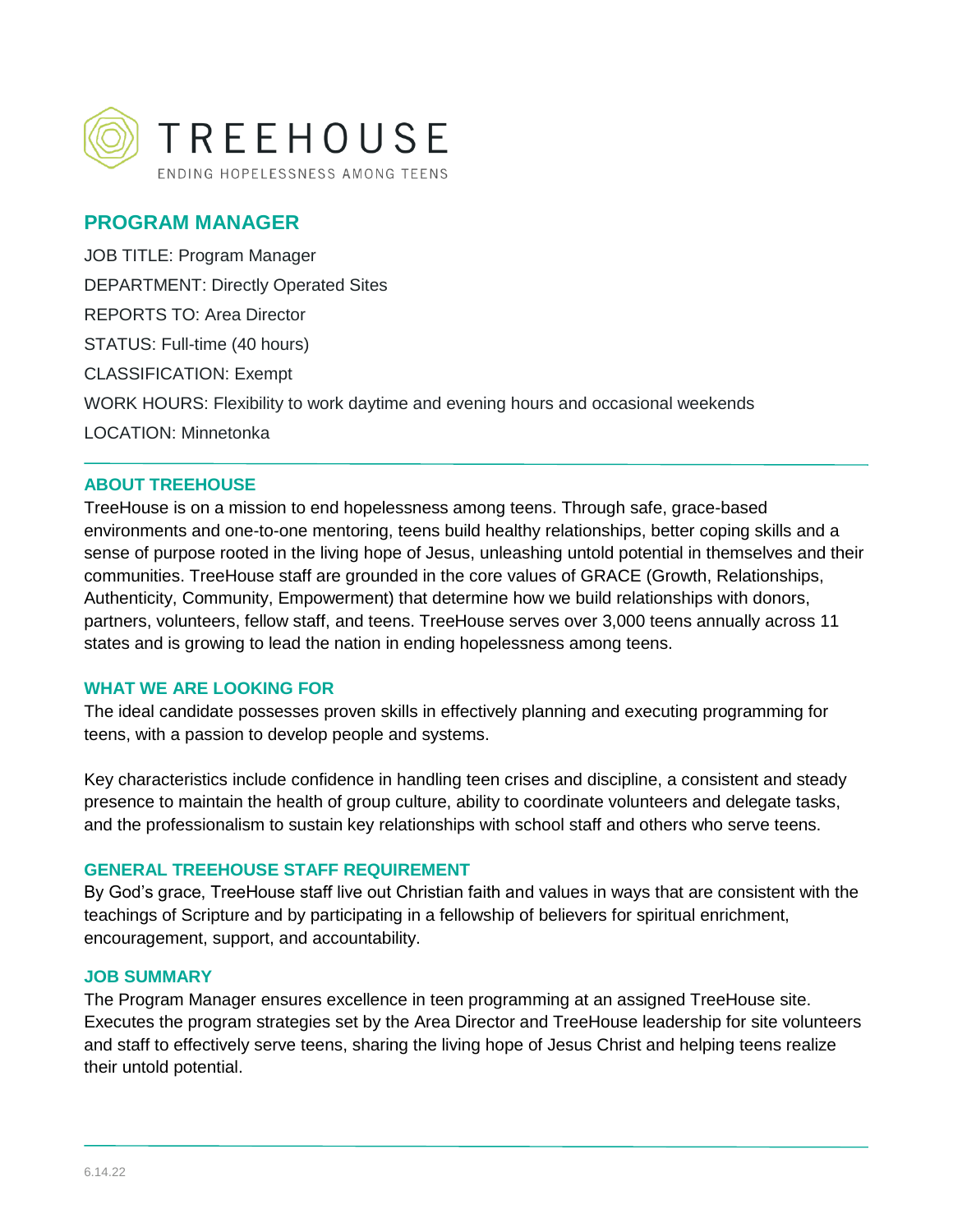

# **PROGRAM MANAGER**

JOB TITLE: Program Manager DEPARTMENT: Directly Operated Sites REPORTS TO: Area Director STATUS: Full-time (40 hours) CLASSIFICATION: Exempt WORK HOURS: Flexibility to work daytime and evening hours and occasional weekends LOCATION: Minnetonka

## **ABOUT TREEHOUSE**

TreeHouse is on a mission to end hopelessness among teens. Through safe, grace-based environments and one-to-one mentoring, teens build healthy relationships, better coping skills and a sense of purpose rooted in the living hope of Jesus, unleashing untold potential in themselves and their communities. TreeHouse staff are grounded in the core values of GRACE (Growth, Relationships, Authenticity, Community, Empowerment) that determine how we build relationships with donors, partners, volunteers, fellow staff, and teens. TreeHouse serves over 3,000 teens annually across 11 states and is growing to lead the nation in ending hopelessness among teens.

## **WHAT WE ARE LOOKING FOR**

The ideal candidate possesses proven skills in effectively planning and executing programming for teens, with a passion to develop people and systems.

Key characteristics include confidence in handling teen crises and discipline, a consistent and steady presence to maintain the health of group culture, ability to coordinate volunteers and delegate tasks, and the professionalism to sustain key relationships with school staff and others who serve teens.

## **GENERAL TREEHOUSE STAFF REQUIREMENT**

By God's grace, TreeHouse staff live out Christian faith and values in ways that are consistent with the teachings of Scripture and by participating in a fellowship of believers for spiritual enrichment, encouragement, support, and accountability.

## **JOB SUMMARY**

The Program Manager ensures excellence in teen programming at an assigned TreeHouse site. Executes the program strategies set by the Area Director and TreeHouse leadership for site volunteers and staff to effectively serve teens, sharing the living hope of Jesus Christ and helping teens realize their untold potential.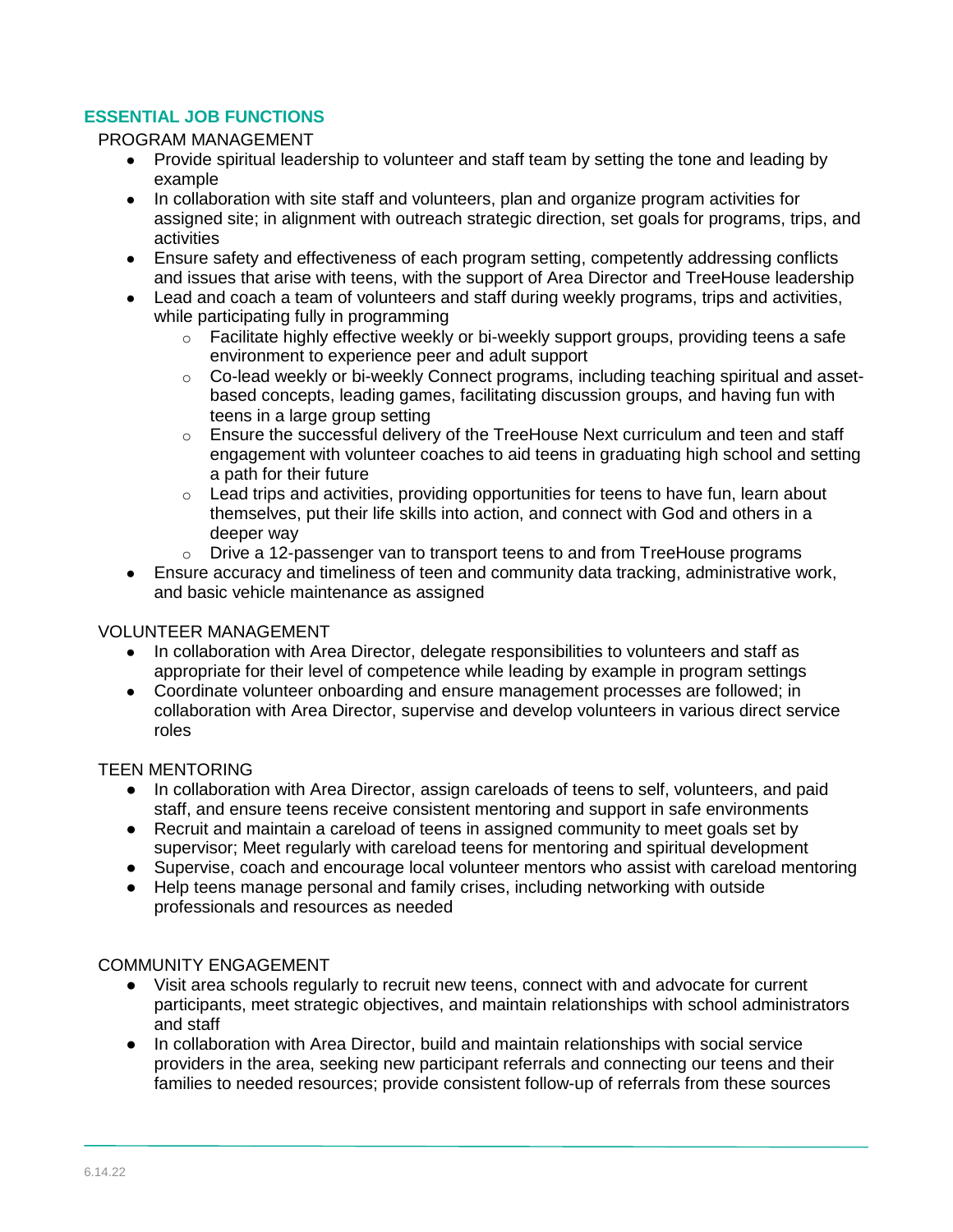# **ESSENTIAL JOB FUNCTIONS**

#### PROGRAM MANAGEMENT

- Provide spiritual leadership to volunteer and staff team by setting the tone and leading by example
- In collaboration with site staff and volunteers, plan and organize program activities for assigned site; in alignment with outreach strategic direction, set goals for programs, trips, and activities
- Ensure safety and effectiveness of each program setting, competently addressing conflicts and issues that arise with teens, with the support of Area Director and TreeHouse leadership
- Lead and coach a team of volunteers and staff during weekly programs, trips and activities, while participating fully in programming
	- $\circ$  Facilitate highly effective weekly or bi-weekly support groups, providing teens a safe environment to experience peer and adult support
	- o Co-lead weekly or bi-weekly Connect programs, including teaching spiritual and assetbased concepts, leading games, facilitating discussion groups, and having fun with teens in a large group setting
	- $\circ$  Ensure the successful delivery of the TreeHouse Next curriculum and teen and staff engagement with volunteer coaches to aid teens in graduating high school and setting a path for their future
	- $\circ$  Lead trips and activities, providing opportunities for teens to have fun, learn about themselves, put their life skills into action, and connect with God and others in a deeper way
	- $\circ$  Drive a 12-passenger van to transport teens to and from TreeHouse programs
- Ensure accuracy and timeliness of teen and community data tracking, administrative work, and basic vehicle maintenance as assigned

## VOLUNTEER MANAGEMENT

- In collaboration with Area Director, delegate responsibilities to volunteers and staff as appropriate for their level of competence while leading by example in program settings
- Coordinate volunteer onboarding and ensure management processes are followed; in collaboration with Area Director, supervise and develop volunteers in various direct service roles

## TEEN MENTORING

- In collaboration with Area Director, assign careloads of teens to self, volunteers, and paid staff, and ensure teens receive consistent mentoring and support in safe environments
- Recruit and maintain a careload of teens in assigned community to meet goals set by supervisor; Meet regularly with careload teens for mentoring and spiritual development
- Supervise, coach and encourage local volunteer mentors who assist with careload mentoring
- Help teens manage personal and family crises, including networking with outside professionals and resources as needed

## COMMUNITY ENGAGEMENT

- Visit area schools regularly to recruit new teens, connect with and advocate for current participants, meet strategic objectives, and maintain relationships with school administrators and staff
- In collaboration with Area Director, build and maintain relationships with social service providers in the area, seeking new participant referrals and connecting our teens and their families to needed resources; provide consistent follow-up of referrals from these sources